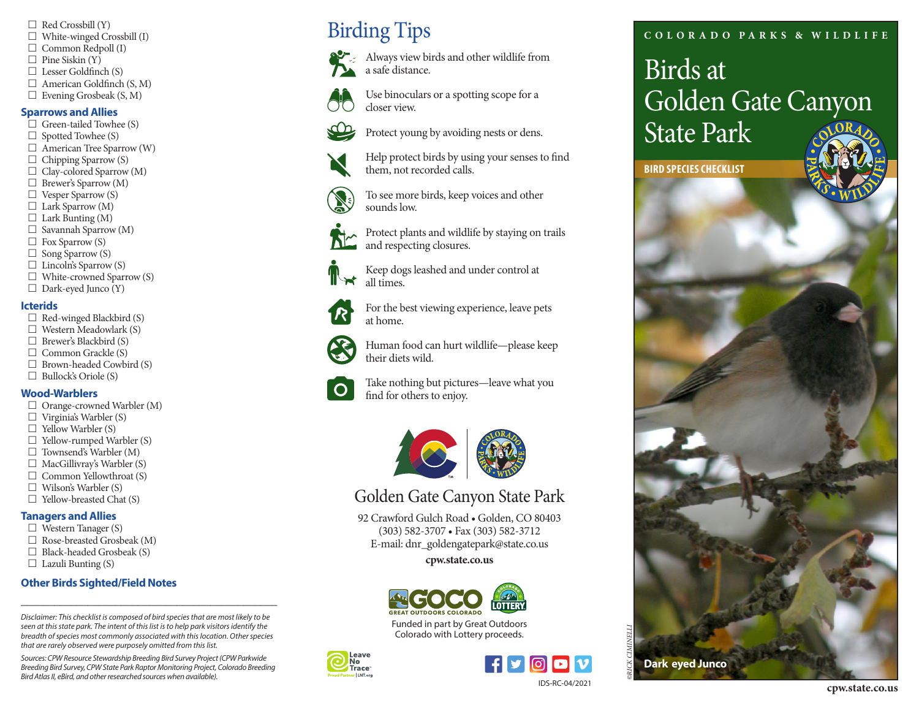- $\Box$  Red Crossbill (Y)
- $\Box$  White-winged Crossbill (I)
- $\Box$  Common Redpoll (I)
- $\Box$  Pine Siskin (Y)
- $\Box$  Lesser Goldfinch (S)
- $\Box$  American Goldfinch (S, M)
- $\Box$  Evening Grosbeak (S, M)

### **Sparrows and Allies**

- $\Box$  Green-tailed Towhee (S)
- $\Box$  Spotted Towhee (S)
- $\Box$  American Tree Sparrow (W)
- $\Box$  Chipping Sparrow (S)
- $\Box$  Clay-colored Sparrow (M)
- $\Box$  Brewer's Sparrow (M)
- $\Box$  Vesper Sparrow (S)
- $\Box$  Lark Sparrow (M)
- $\Box$  Lark Bunting (M)
- $\Box$  Savannah Sparrow (M)
- $\Box$  Fox Sparrow (S)
- $\Box$  Song Sparrow (S)
- $\Box$  Lincoln's Sparrow (S)
- $\Box$  White-crowned Sparrow (S)
- $\Box$  Dark-eyed Junco (Y)

#### **Icterids**

- $\Box$  Red-winged Blackbird (S)
- $\Box$  Western Meadowlark (S)
- $\Box$  Brewer's Blackbird (S)
- $\Box$  Common Grackle (S)
- $\Box$  Brown-headed Cowbird (S)
- $\Box$  Bullock's Oriole (S)

## **Wood-Warblers**

- $\Box$  Orange-crowned Warbler (M)
- $\Box$  Virginia's Warbler (S)
- $\Box$  Yellow Warbler (S)
- $\Box$  Yellow-rumped Warbler (S)
- $\Box$  Townsend's Warbler (M)
- $\Box$  MacGillivray's Warbler (S)
- $\Box$  Common Yellowthroat (S)
- $\Box$  Wilson's Warbler (S)
- $\Box$  Yellow-breasted Chat (S)

## **Tanagers and Allies**

- $\Box$  Western Tanager (S)
- $\Box$  Rose-breasted Grosbeak (M)
- $\Box$  Black-headed Grosbeak (S)
- $\Box$  Lazuli Bunting (S)

## **Other Birds Sighted/Field Notes**

*Disclaimer: This checklist is composed of bird species that are most likely to be seen at this state park. The intent of this list is to help park visitors identify the breadth of species most commonly associated with this location. Other species that are rarely observed were purposely omitted from this list.* 

\_\_\_\_\_\_\_\_\_\_\_\_\_\_\_\_\_\_\_\_\_\_\_\_\_\_\_\_\_\_\_\_\_\_\_\_\_\_\_\_\_\_\_\_\_\_

*Sources: CPW Resource Stewardship Breeding Bird Survey Project (CPW Parkwide Breeding Bird Survey, CPW State Park Raptor Monitoring Project, Colorado Breeding Bird Atlas II, eBird, and other researched sources when available).* 

## Birding Tips



Always view birds and other wildlife from a safe distance.

Use binoculars or a spotting scope for a closer view.

Protect young by avoiding nests or dens.

Help protect birds by using your senses to fnd them, not recorded calls.

To see more birds, keep voices and other sounds low.

Protect plants and wildlife by staying on trails and respecting closures.

Keep dogs leashed and under control at all times

For the best viewing experience, leave pets at home.

Human food can hurt wildlife—please keep their diets wild.

Take nothing but pictures—leave what you fnd for others to enjoy.



## Golden Gate Canyon State Park

92 Crawford Gulch Road • Golden, CO 80403 (303) 582-3707 • Fax (303) 582-3712 E-mail: [dnr\\_goldengatepark@state.co.us](mailto:dnr_goldengatepark@state.co.us) 

**[cpw.state.co.us](https://cpw.state.co.us)** 



Funded in part by Great Outdoors Colorado with Lottery proceeds.





## **C OL OR A D O PA R K S & W I L DL I F E**

# Birds at Golden Gate Canyon State Park

**BIRD SPECIES CHECKLIST**